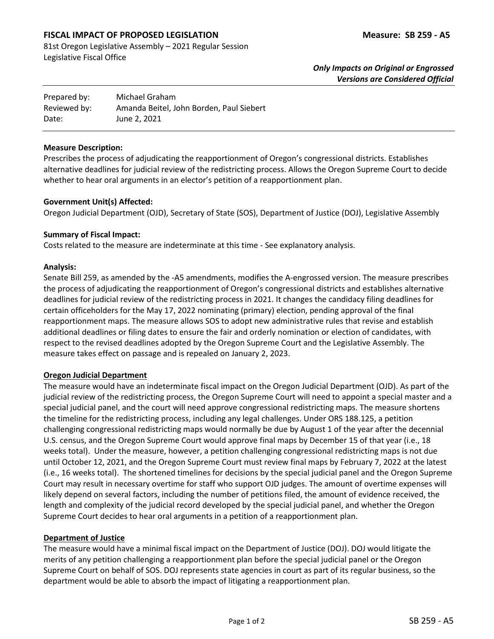# **FISCAL IMPACT OF PROPOSED LEGISLATION Measure: SB 259 - A5**

81st Oregon Legislative Assembly – 2021 Regular Session Legislative Fiscal Office

| Prepared by: | Michael Graham                           |
|--------------|------------------------------------------|
| Reviewed by: | Amanda Beitel, John Borden, Paul Siebert |
| Date:        | June 2, 2021                             |

#### **Measure Description:**

Prescribes the process of adjudicating the reapportionment of Oregon's congressional districts. Establishes alternative deadlines for judicial review of the redistricting process. Allows the Oregon Supreme Court to decide whether to hear oral arguments in an elector's petition of a reapportionment plan.

### **Government Unit(s) Affected:**

Oregon Judicial Department (OJD), Secretary of State (SOS), Department of Justice (DOJ), Legislative Assembly

### **Summary of Fiscal Impact:**

Costs related to the measure are indeterminate at this time - See explanatory analysis.

### **Analysis:**

Senate Bill 259, as amended by the -A5 amendments, modifies the A-engrossed version. The measure prescribes the process of adjudicating the reapportionment of Oregon's congressional districts and establishes alternative deadlines for judicial review of the redistricting process in 2021. It changes the candidacy filing deadlines for certain officeholders for the May 17, 2022 nominating (primary) election, pending approval of the final reapportionment maps. The measure allows SOS to adopt new administrative rules that revise and establish additional deadlines or filing dates to ensure the fair and orderly nomination or election of candidates, with respect to the revised deadlines adopted by the Oregon Supreme Court and the Legislative Assembly. The measure takes effect on passage and is repealed on January 2, 2023.

# **Oregon Judicial Department**

The measure would have an indeterminate fiscal impact on the Oregon Judicial Department (OJD). As part of the judicial review of the redistricting process, the Oregon Supreme Court will need to appoint a special master and a special judicial panel, and the court will need approve congressional redistricting maps. The measure shortens the timeline for the redistricting process, including any legal challenges. Under ORS 188.125, a petition challenging congressional redistricting maps would normally be due by August 1 of the year after the decennial U.S. census, and the Oregon Supreme Court would approve final maps by December 15 of that year (i.e., 18 weeks total). Under the measure, however, a petition challenging congressional redistricting maps is not due until October 12, 2021, and the Oregon Supreme Court must review final maps by February 7, 2022 at the latest (i.e., 16 weeks total). The shortened timelines for decisions by the special judicial panel and the Oregon Supreme Court may result in necessary overtime for staff who support OJD judges. The amount of overtime expenses will likely depend on several factors, including the number of petitions filed, the amount of evidence received, the length and complexity of the judicial record developed by the special judicial panel, and whether the Oregon Supreme Court decides to hear oral arguments in a petition of a reapportionment plan.

# **Department of Justice**

The measure would have a minimal fiscal impact on the Department of Justice (DOJ). DOJ would litigate the merits of any petition challenging a reapportionment plan before the special judicial panel or the Oregon Supreme Court on behalf of SOS. DOJ represents state agencies in court as part of its regular business, so the department would be able to absorb the impact of litigating a reapportionment plan.